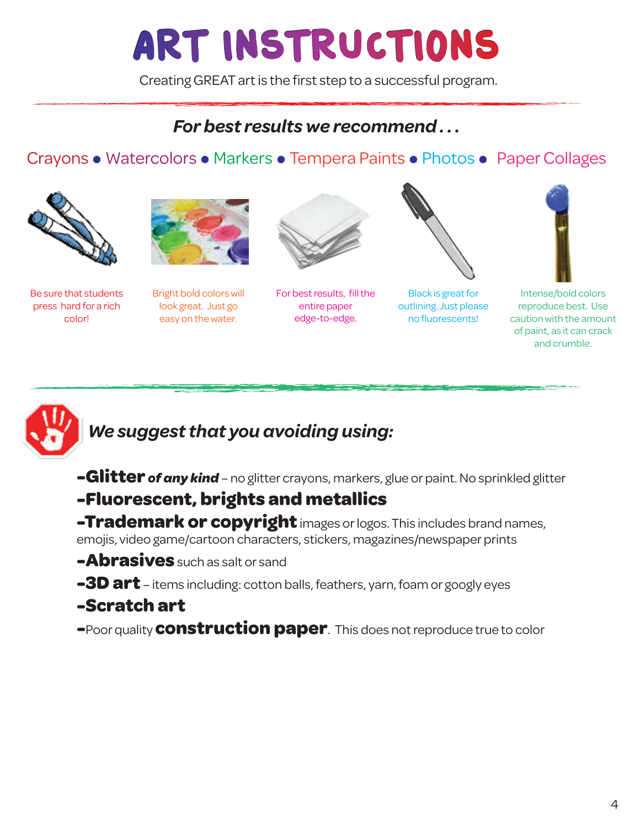## ART INSTRUCTIONS

Creating GREAT art is the first step to a successful program.

## *For best results we recommend . . .*

### Crayons • Watercolors • Markers • Tempera Paints • Photos • Paper Collages



Be sure that students press hard for a rich color!



Bright bold colors will look great. Just go easy on the water.



For best results, fill the entire paper edge-to-edge.



Black is great for outlining. Just please no fluorescents!





## *We suggest that you avoiding using:*

- **-Glitter** *of any kind* no glitter crayons, markers, glue or paint. No sprinkled glitter
- **-Fluorescent, brights and metallics**
- **-Trademark or copyright** images or logos. This includes brand names, emojis, video game/cartoon characters, stickers, magazines/newspaper prints
- **-Abrasives** such as salt or sand
- **-3D art** items including: cotton balls, feathers, yarn, foam or googly eyes

#### **-Scratch art**

**-**Poor quality **construction paper**. This does not reproduce true to color